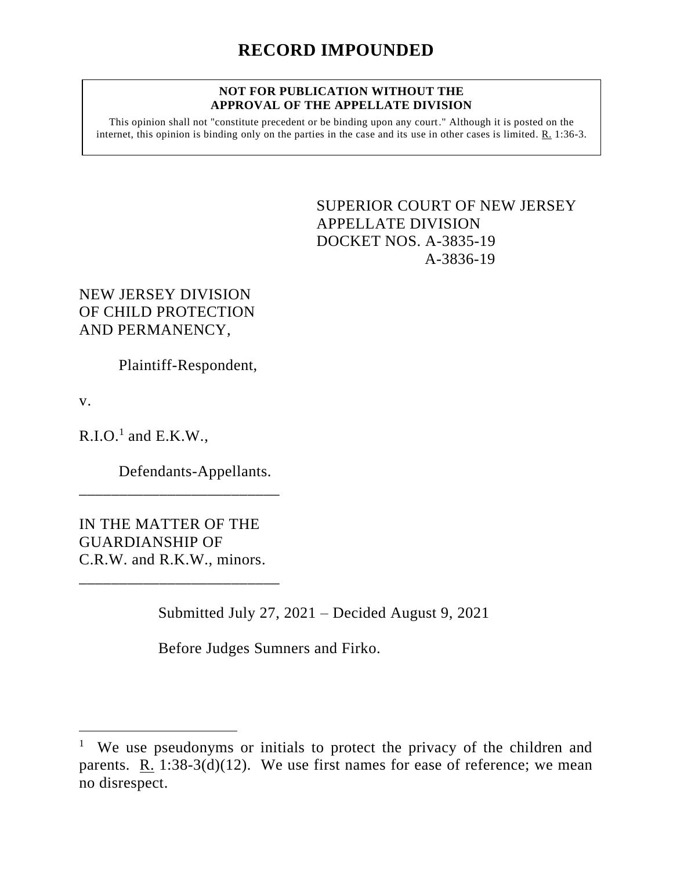#### **NOT FOR PUBLICATION WITHOUT THE APPROVAL OF THE APPELLATE DIVISION**

This opinion shall not "constitute precedent or be binding upon any court." Although it is posted on the internet, this opinion is binding only on the parties in the case and its use in other cases is limited. R. 1:36-3.

> <span id="page-0-0"></span>SUPERIOR COURT OF NEW JERSEY APPELLATE DIVISION DOCKET NOS. A-3835-19 A-3836-19

NEW JERSEY DIVISION OF CHILD PROTECTION AND PERMANENCY,

Plaintiff-Respondent,

v.

 $R.I.O.<sup>1</sup>$  and  $E.K.W.,$ 

Defendants-Appellants.

IN THE MATTER OF THE GUARDIANSHIP OF C.R.W. and R.K.W., minors.

\_\_\_\_\_\_\_\_\_\_\_\_\_\_\_\_\_\_\_\_\_\_\_\_\_

\_\_\_\_\_\_\_\_\_\_\_\_\_\_\_\_\_\_\_\_\_\_\_\_\_

Submitted July 27, 2021 – Decided August 9, 2021

Before Judges Sumners and Firko.

<sup>1</sup> We use pseudonyms or initials to protect the privacy of the children and parents. R. 1:38-3(d)(12). We use first names for ease of reference; we mean no disrespect.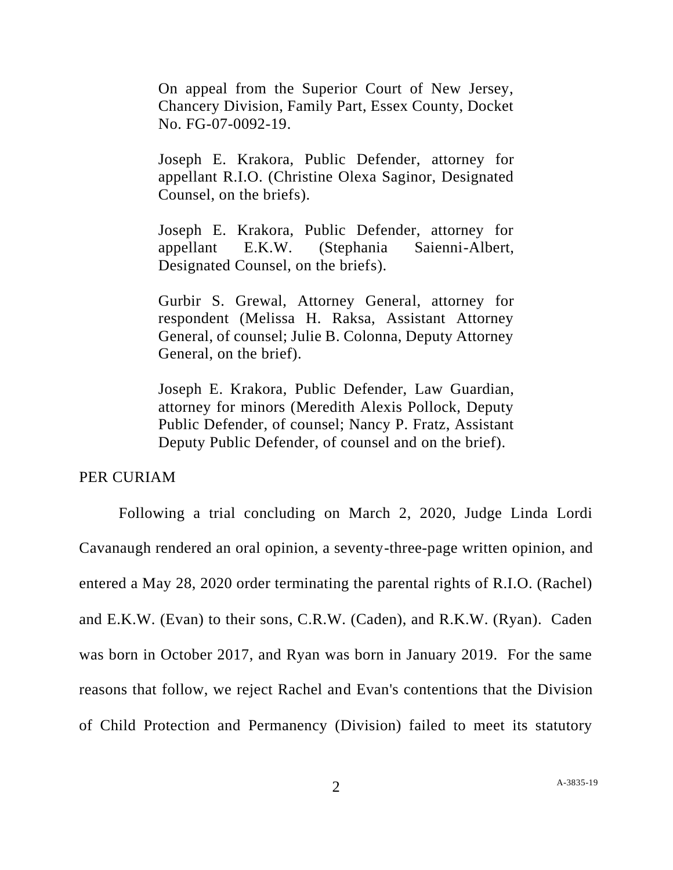On appeal from the Superior Court of New Jersey, Chancery Division, Family Part, Essex County, Docket No. FG-07-0092-19.

Joseph E. Krakora, Public Defender, attorney for appellant R.I.O. (Christine Olexa Saginor, Designated Counsel, on the briefs).

Joseph E. Krakora, Public Defender, attorney for appellant E.K.W. (Stephania Saienni-Albert, Designated Counsel, on the briefs).

Gurbir S. Grewal, Attorney General, attorney for respondent (Melissa H. Raksa, Assistant Attorney General, of counsel; Julie B. Colonna, Deputy Attorney General, on the brief).

Joseph E. Krakora, Public Defender, Law Guardian, attorney for minors (Meredith Alexis Pollock, Deputy Public Defender, of counsel; Nancy P. Fratz, Assistant Deputy Public Defender, of counsel and on the brief).

# PER CURIAM

Following a trial concluding on March 2, 2020, Judge Linda Lordi Cavanaugh rendered an oral opinion, a seventy-three-page written opinion, and entered a May 28, 2020 order terminating the parental rights of R.I.O. (Rachel) and E.K.W. (Evan) to their sons, C.R.W. (Caden), and R.K.W. (Ryan). Caden was born in October 2017, and Ryan was born in January 2019. For the same reasons that follow, we reject Rachel and Evan's contentions that the Division of Child Protection and Permanency (Division) failed to meet its statutory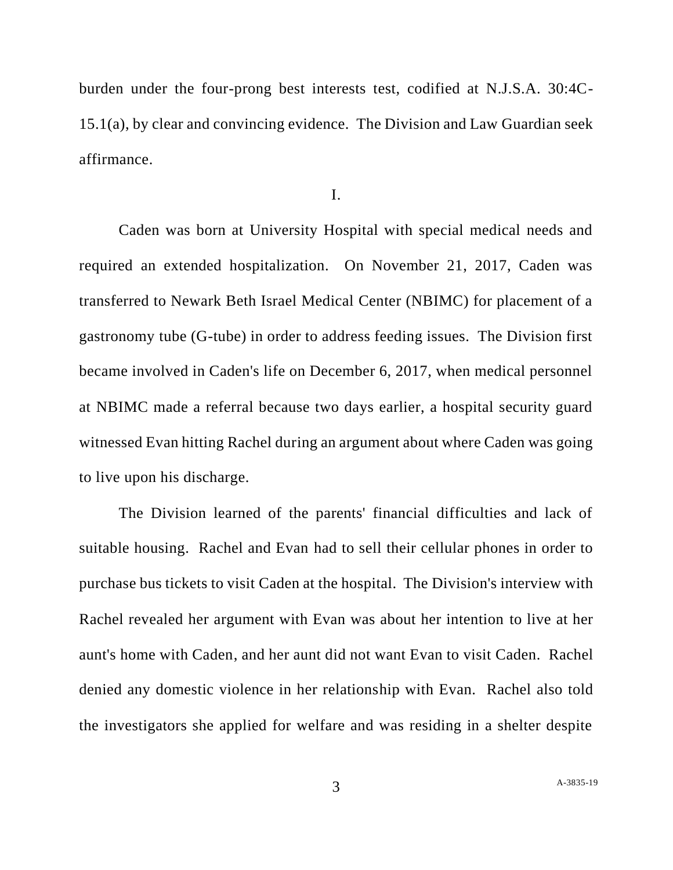burden under the four-prong best interests test, codified at N.J.S.A. 30:4C-15.1(a), by clear and convincing evidence. The Division and Law Guardian seek affirmance.

I.

Caden was born at University Hospital with special medical needs and required an extended hospitalization. On November 21, 2017, Caden was transferred to Newark Beth Israel Medical Center (NBIMC) for placement of a gastronomy tube (G-tube) in order to address feeding issues. The Division first became involved in Caden's life on December 6, 2017, when medical personnel at NBIMC made a referral because two days earlier, a hospital security guard witnessed Evan hitting Rachel during an argument about where Caden was going to live upon his discharge.

The Division learned of the parents' financial difficulties and lack of suitable housing. Rachel and Evan had to sell their cellular phones in order to purchase bus tickets to visit Caden at the hospital. The Division's interview with Rachel revealed her argument with Evan was about her intention to live at her aunt's home with Caden, and her aunt did not want Evan to visit Caden. Rachel denied any domestic violence in her relationship with Evan. Rachel also told the investigators she applied for welfare and was residing in a shelter despite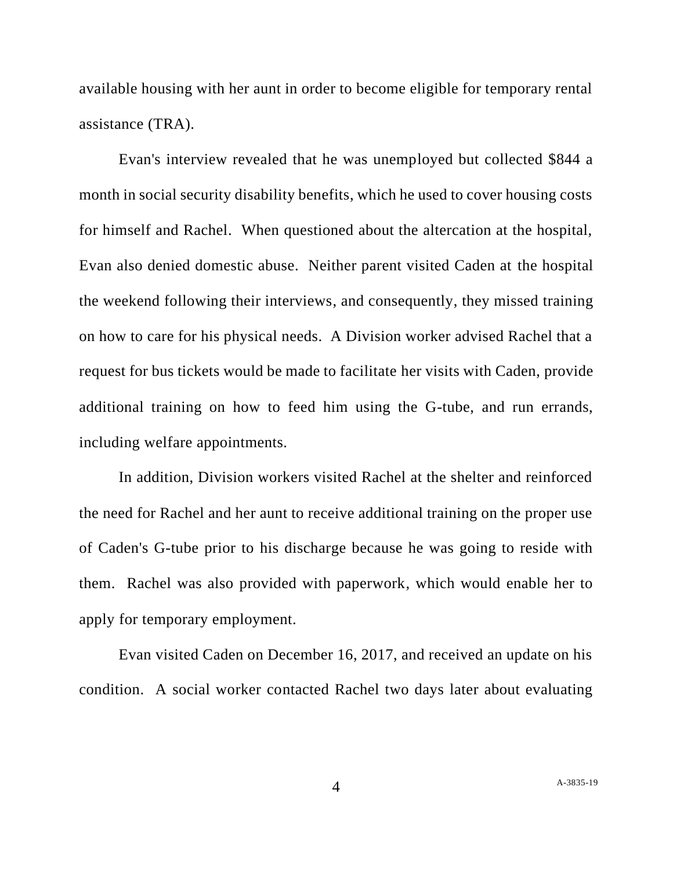available housing with her aunt in order to become eligible for temporary rental assistance (TRA).

Evan's interview revealed that he was unemployed but collected \$844 a month in social security disability benefits, which he used to cover housing costs for himself and Rachel. When questioned about the altercation at the hospital, Evan also denied domestic abuse. Neither parent visited Caden at the hospital the weekend following their interviews, and consequently, they missed training on how to care for his physical needs. A Division worker advised Rachel that a request for bus tickets would be made to facilitate her visits with Caden, provide additional training on how to feed him using the G-tube, and run errands, including welfare appointments.

In addition, Division workers visited Rachel at the shelter and reinforced the need for Rachel and her aunt to receive additional training on the proper use of Caden's G-tube prior to his discharge because he was going to reside with them. Rachel was also provided with paperwork, which would enable her to apply for temporary employment.

Evan visited Caden on December 16, 2017, and received an update on his condition. A social worker contacted Rachel two days later about evaluating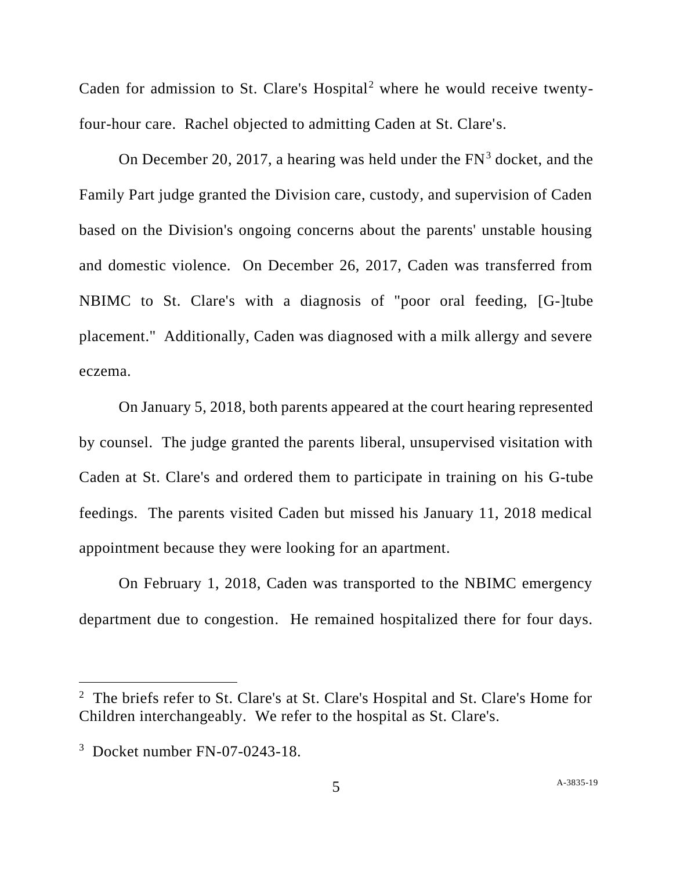Caden for admission to St. Clare's  $Hospital^2$  where he would receive twentyfour-hour care. Rachel objected to admitting Caden at St. Clare's.

On December 20, 2017, a hearing was held under the  $FN<sup>3</sup>$  docket, and the Family Part judge granted the Division care, custody, and supervision of Caden based on the Division's ongoing concerns about the parents' unstable housing and domestic violence. On December 26, 2017, Caden was transferred from NBIMC to St. Clare's with a diagnosis of "poor oral feeding, [G-]tube placement." Additionally, Caden was diagnosed with a milk allergy and severe eczema.

On January 5, 2018, both parents appeared at the court hearing represented by counsel. The judge granted the parents liberal, unsupervised visitation with Caden at St. Clare's and ordered them to participate in training on his G-tube feedings. The parents visited Caden but missed his January 11, 2018 medical appointment because they were looking for an apartment.

On February 1, 2018, Caden was transported to the NBIMC emergency department due to congestion. He remained hospitalized there for four days.

<sup>&</sup>lt;sup>2</sup> The briefs refer to St. Clare's at St. Clare's Hospital and St. Clare's Home for Children interchangeably. We refer to the hospital as St. Clare's.

<sup>3</sup> Docket number FN-07-0243-18.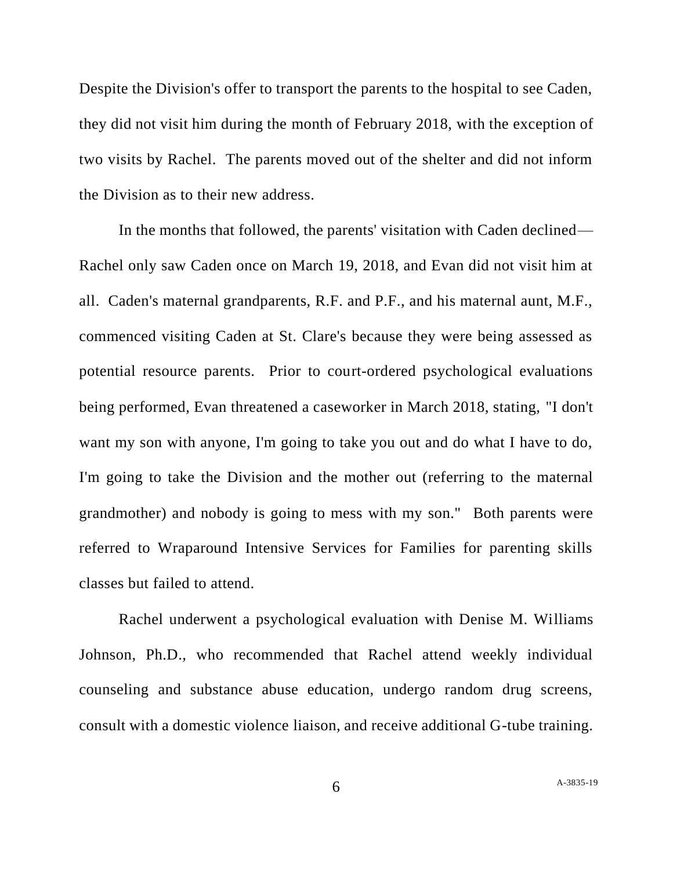Despite the Division's offer to transport the parents to the hospital to see Caden, they did not visit him during the month of February 2018, with the exception of two visits by Rachel. The parents moved out of the shelter and did not inform the Division as to their new address.

In the months that followed, the parents' visitation with Caden declined— Rachel only saw Caden once on March 19, 2018, and Evan did not visit him at all. Caden's maternal grandparents, R.F. and P.F., and his maternal aunt, M.F., commenced visiting Caden at St. Clare's because they were being assessed as potential resource parents. Prior to court-ordered psychological evaluations being performed, Evan threatened a caseworker in March 2018, stating, "I don't want my son with anyone, I'm going to take you out and do what I have to do, I'm going to take the Division and the mother out (referring to the maternal grandmother) and nobody is going to mess with my son." Both parents were referred to Wraparound Intensive Services for Families for parenting skills classes but failed to attend.

Rachel underwent a psychological evaluation with Denise M. Williams Johnson, Ph.D., who recommended that Rachel attend weekly individual counseling and substance abuse education, undergo random drug screens, consult with a domestic violence liaison, and receive additional G-tube training.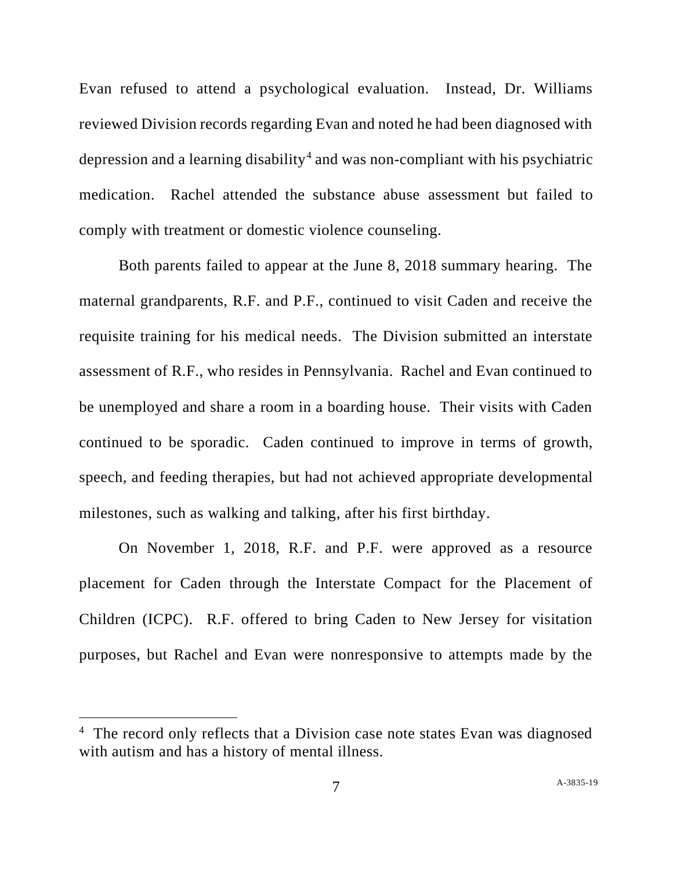Evan refused to attend a psychological evaluation. Instead, Dr. Williams reviewed Division records regarding Evan and noted he had been diagnosed with depression and a learning disability<sup>4</sup> and was non-compliant with his psychiatric medication. Rachel attended the substance abuse assessment but failed to comply with treatment or domestic violence counseling.

Both parents failed to appear at the June 8, 2018 summary hearing. The maternal grandparents, R.F. and P.F., continued to visit Caden and receive the requisite training for his medical needs. The Division submitted an interstate assessment of R.F., who resides in Pennsylvania. Rachel and Evan continued to be unemployed and share a room in a boarding house. Their visits with Caden continued to be sporadic. Caden continued to improve in terms of growth, speech, and feeding therapies, but had not achieved appropriate developmental milestones, such as walking and talking, after his first birthday.

On November 1, 2018, R.F. and P.F. were approved as a resource placement for Caden through the Interstate Compact for the Placement of Children (ICPC). R.F. offered to bring Caden to New Jersey for visitation purposes, but Rachel and Evan were nonresponsive to attempts made by the

<sup>&</sup>lt;sup>4</sup> The record only reflects that a Division case note states Evan was diagnosed with autism and has a history of mental illness.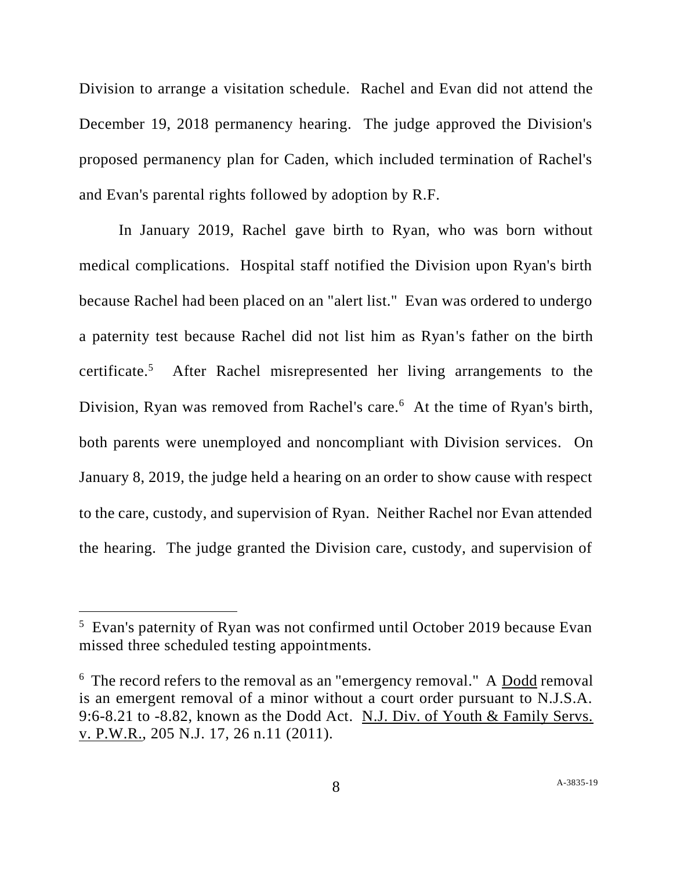Division to arrange a visitation schedule. Rachel and Evan did not attend the December 19, 2018 permanency hearing. The judge approved the Division's proposed permanency plan for Caden, which included termination of Rachel's and Evan's parental rights followed by adoption by R.F.

In January 2019, Rachel gave birth to Ryan, who was born without medical complications. Hospital staff notified the Division upon Ryan's birth because Rachel had been placed on an "alert list." Evan was ordered to undergo a paternity test because Rachel did not list him as Ryan's father on the birth certificate.<sup>5</sup> After Rachel misrepresented her living arrangements to the Division, Ryan was removed from Rachel's care.<sup>6</sup> At the time of Ryan's birth, both parents were unemployed and noncompliant with Division services. On January 8, 2019, the judge held a hearing on an order to show cause with respect to the care, custody, and supervision of Ryan. Neither Rachel nor Evan attended the hearing. The judge granted the Division care, custody, and supervision of

<sup>&</sup>lt;sup>5</sup> Evan's paternity of Ryan was not confirmed until October 2019 because Evan missed three scheduled testing appointments.

 $6$  The record refers to the removal as an "emergency removal." A  $\overline{\text{Dodd}}$  removal is an emergent removal of a minor without a court order pursuant to N.J.S.A. 9:6-8.21 to -8.82, known as the Dodd Act. N.J. Div. of Youth & Family Servs. v. P.W.R., 205 N.J. 17, 26 n.11 (2011).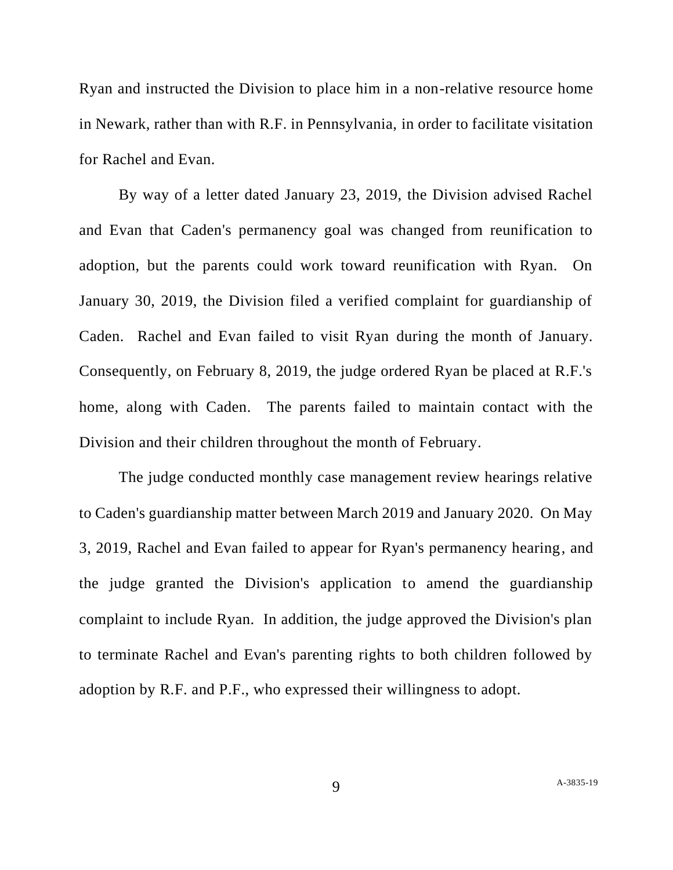Ryan and instructed the Division to place him in a non-relative resource home in Newark, rather than with R.F. in Pennsylvania, in order to facilitate visitation for Rachel and Evan.

By way of a letter dated January 23, 2019, the Division advised Rachel and Evan that Caden's permanency goal was changed from reunification to adoption, but the parents could work toward reunification with Ryan. On January 30, 2019, the Division filed a verified complaint for guardianship of Caden. Rachel and Evan failed to visit Ryan during the month of January. Consequently, on February 8, 2019, the judge ordered Ryan be placed at R.F.'s home, along with Caden. The parents failed to maintain contact with the Division and their children throughout the month of February.

The judge conducted monthly case management review hearings relative to Caden's guardianship matter between March 2019 and January 2020. On May 3, 2019, Rachel and Evan failed to appear for Ryan's permanency hearing, and the judge granted the Division's application to amend the guardianship complaint to include Ryan. In addition, the judge approved the Division's plan to terminate Rachel and Evan's parenting rights to both children followed by adoption by R.F. and P.F., who expressed their willingness to adopt.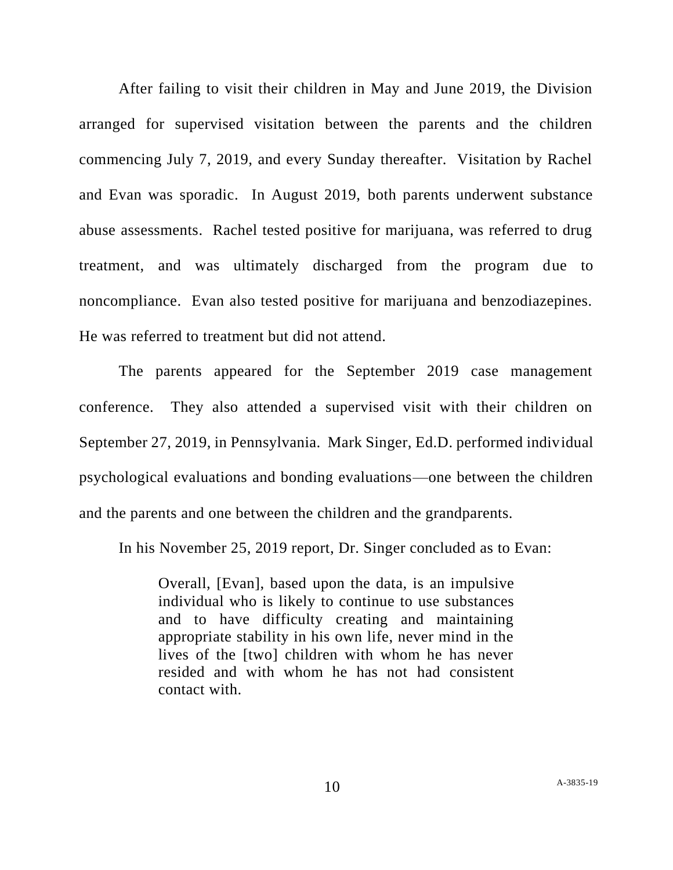After failing to visit their children in May and June 2019, the Division arranged for supervised visitation between the parents and the children commencing July 7, 2019, and every Sunday thereafter. Visitation by Rachel and Evan was sporadic. In August 2019, both parents underwent substance abuse assessments. Rachel tested positive for marijuana, was referred to drug treatment, and was ultimately discharged from the program due to noncompliance. Evan also tested positive for marijuana and benzodiazepines. He was referred to treatment but did not attend.

The parents appeared for the September 2019 case management conference. They also attended a supervised visit with their children on September 27, 2019, in Pennsylvania. Mark Singer, Ed.D. performed individual psychological evaluations and bonding evaluations—one between the children and the parents and one between the children and the grandparents.

In his November 25, 2019 report, Dr. Singer concluded as to Evan:

Overall, [Evan], based upon the data, is an impulsive individual who is likely to continue to use substances and to have difficulty creating and maintaining appropriate stability in his own life, never mind in the lives of the [two] children with whom he has never resided and with whom he has not had consistent contact with.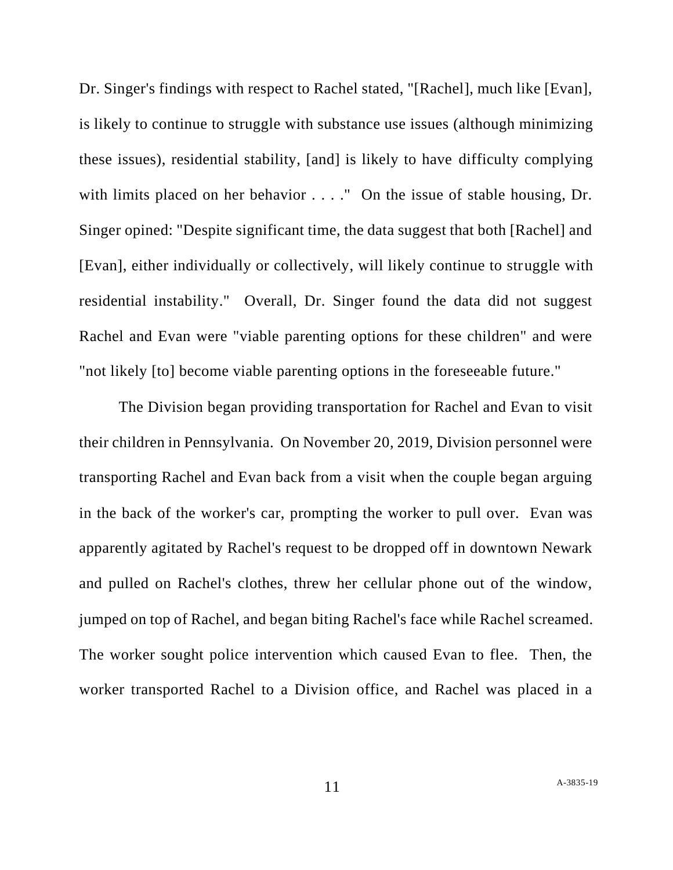Dr. Singer's findings with respect to Rachel stated, "[Rachel], much like [Evan], is likely to continue to struggle with substance use issues (although minimizing these issues), residential stability, [and] is likely to have difficulty complying with limits placed on her behavior . . . ." On the issue of stable housing, Dr. Singer opined: "Despite significant time, the data suggest that both [Rachel] and [Evan], either individually or collectively, will likely continue to struggle with residential instability." Overall, Dr. Singer found the data did not suggest Rachel and Evan were "viable parenting options for these children" and were "not likely [to] become viable parenting options in the foreseeable future."

The Division began providing transportation for Rachel and Evan to visit their children in Pennsylvania. On November 20, 2019, Division personnel were transporting Rachel and Evan back from a visit when the couple began arguing in the back of the worker's car, prompting the worker to pull over. Evan was apparently agitated by Rachel's request to be dropped off in downtown Newark and pulled on Rachel's clothes, threw her cellular phone out of the window, jumped on top of Rachel, and began biting Rachel's face while Rachel screamed. The worker sought police intervention which caused Evan to flee. Then, the worker transported Rachel to a Division office, and Rachel was placed in a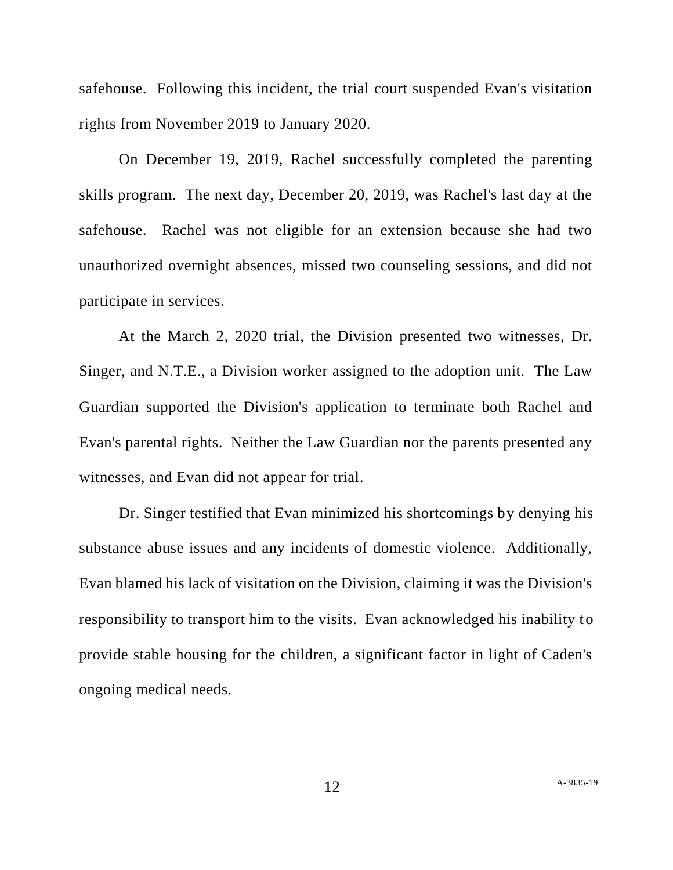safehouse. Following this incident, the trial court suspended Evan's visitation rights from November 2019 to January 2020.

On December 19, 2019, Rachel successfully completed the parenting skills program. The next day, December 20, 2019, was Rachel's last day at the safehouse. Rachel was not eligible for an extension because she had two unauthorized overnight absences, missed two counseling sessions, and did not participate in services.

At the March 2, 2020 trial, the Division presented two witnesses, Dr. Singer, and N.T.E., a Division worker assigned to the adoption unit. The Law Guardian supported the Division's application to terminate both Rachel and Evan's parental rights. Neither the Law Guardian nor the parents presented any witnesses, and Evan did not appear for trial.

Dr. Singer testified that Evan minimized his shortcomings by denying his substance abuse issues and any incidents of domestic violence. Additionally, Evan blamed his lack of visitation on the Division, claiming it was the Division's responsibility to transport him to the visits. Evan acknowledged his inability to provide stable housing for the children, a significant factor in light of Caden's ongoing medical needs.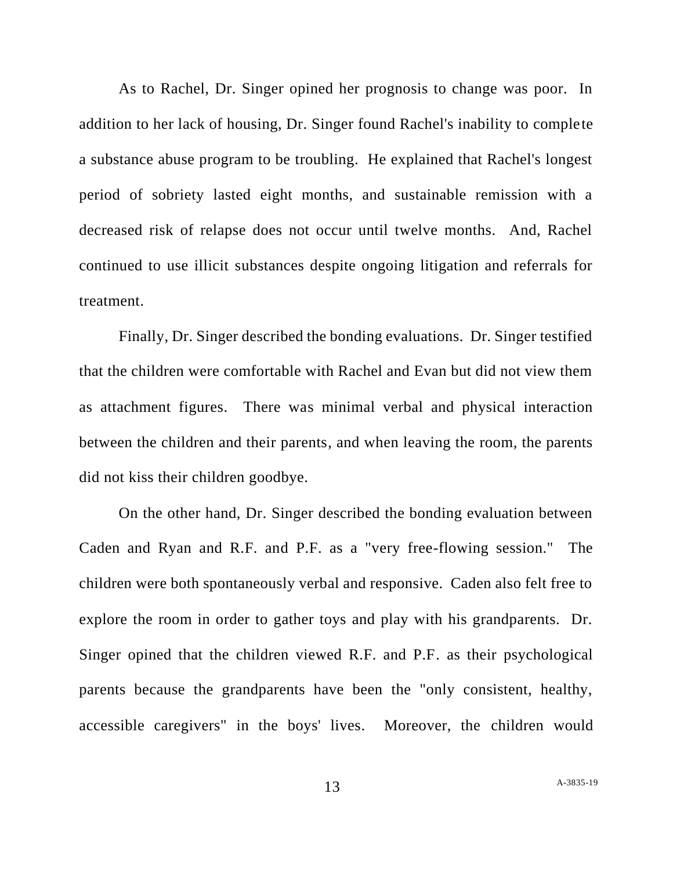As to Rachel, Dr. Singer opined her prognosis to change was poor. In addition to her lack of housing, Dr. Singer found Rachel's inability to complete a substance abuse program to be troubling. He explained that Rachel's longest period of sobriety lasted eight months, and sustainable remission with a decreased risk of relapse does not occur until twelve months. And, Rachel continued to use illicit substances despite ongoing litigation and referrals for treatment.

Finally, Dr. Singer described the bonding evaluations. Dr. Singer testified that the children were comfortable with Rachel and Evan but did not view them as attachment figures. There was minimal verbal and physical interaction between the children and their parents, and when leaving the room, the parents did not kiss their children goodbye.

On the other hand, Dr. Singer described the bonding evaluation between Caden and Ryan and R.F. and P.F. as a "very free-flowing session." The children were both spontaneously verbal and responsive. Caden also felt free to explore the room in order to gather toys and play with his grandparents. Dr. Singer opined that the children viewed R.F. and P.F. as their psychological parents because the grandparents have been the "only consistent, healthy, accessible caregivers" in the boys' lives. Moreover, the children would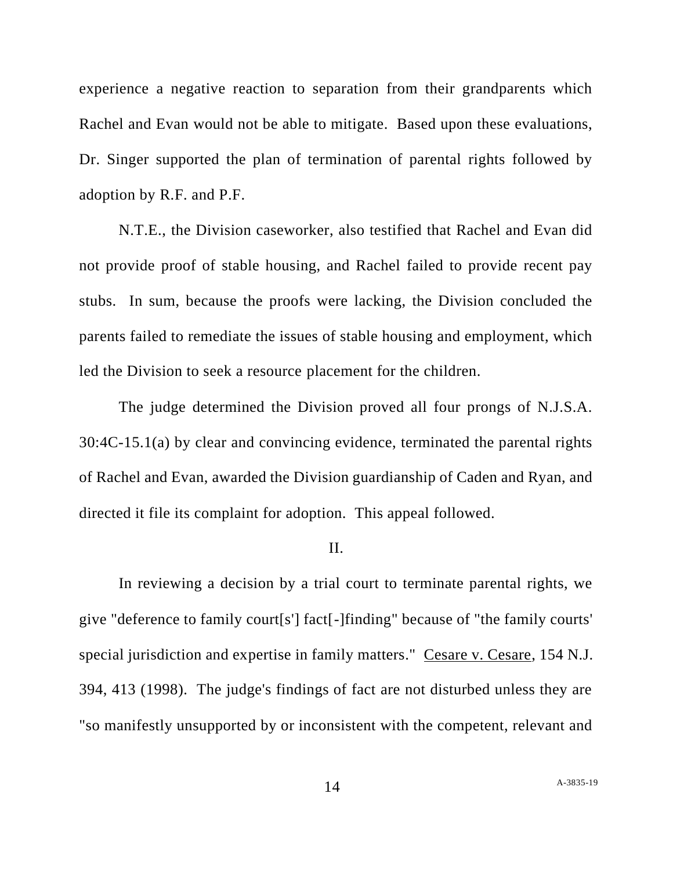experience a negative reaction to separation from their grandparents which Rachel and Evan would not be able to mitigate. Based upon these evaluations, Dr. Singer supported the plan of termination of parental rights followed by adoption by R.F. and P.F.

N.T.E., the Division caseworker, also testified that Rachel and Evan did not provide proof of stable housing, and Rachel failed to provide recent pay stubs. In sum, because the proofs were lacking, the Division concluded the parents failed to remediate the issues of stable housing and employment, which led the Division to seek a resource placement for the children.

The judge determined the Division proved all four prongs of N.J.S.A. 30:4C-15.1(a) by clear and convincing evidence, terminated the parental rights of Rachel and Evan, awarded the Division guardianship of Caden and Ryan, and directed it file its complaint for adoption. This appeal followed.

### II.

In reviewing a decision by a trial court to terminate parental rights, we give "deference to family court[s'] fact[-]finding" because of "the family courts' special jurisdiction and expertise in family matters." Cesare v. Cesare, 154 N.J. 394, 413 (1998). The judge's findings of fact are not disturbed unless they are "so manifestly unsupported by or inconsistent with the competent, relevant and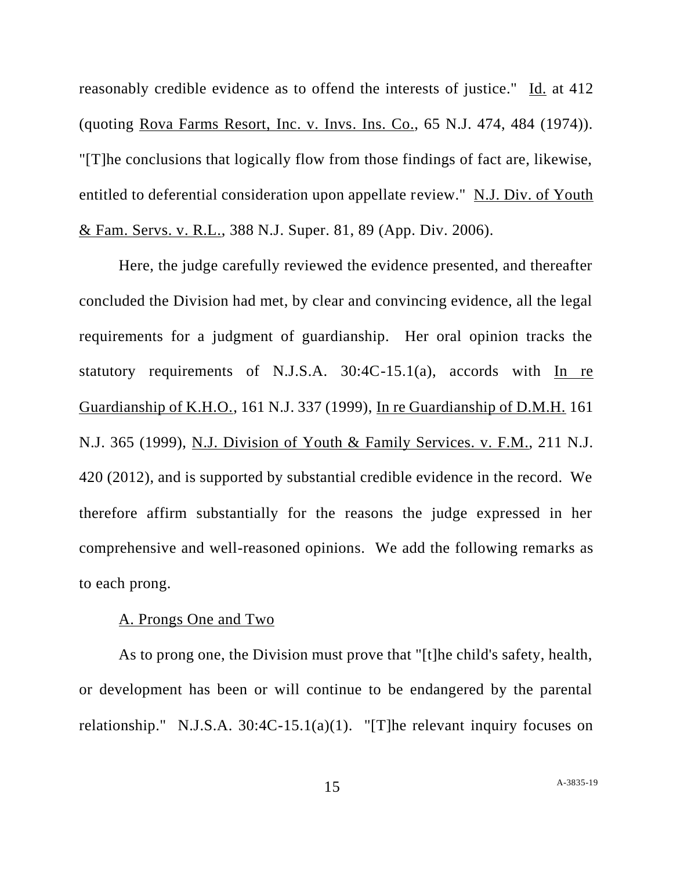reasonably credible evidence as to offend the interests of justice." Id. at 412 (quoting Rova Farms Resort, Inc. v. Invs. Ins. Co., 65 N.J. 474, 484 (1974)). "[T]he conclusions that logically flow from those findings of fact are, likewise, entitled to deferential consideration upon appellate review." N.J. Div. of Youth & Fam. Servs. v. R.L., 388 N.J. Super. 81, 89 (App. Div. 2006).

Here, the judge carefully reviewed the evidence presented, and thereafter concluded the Division had met, by clear and convincing evidence, all the legal requirements for a judgment of guardianship. Her oral opinion tracks the statutory requirements of N.J.S.A. 30:4C-15.1(a), accords with In re Guardianship of K.H.O., 161 N.J. 337 (1999), In re Guardianship of D.M.H. 161 N.J. 365 (1999), N.J. Division of Youth & Family Services. v. F.M., 211 N.J. 420 (2012), and is supported by substantial credible evidence in the record. We therefore affirm substantially for the reasons the judge expressed in her comprehensive and well-reasoned opinions. We add the following remarks as to each prong.

### A. Prongs One and Two

As to prong one, the Division must prove that "[t]he child's safety, health, or development has been or will continue to be endangered by the parental relationship." N.J.S.A. 30:4C-15.1(a)(1). "[T]he relevant inquiry focuses on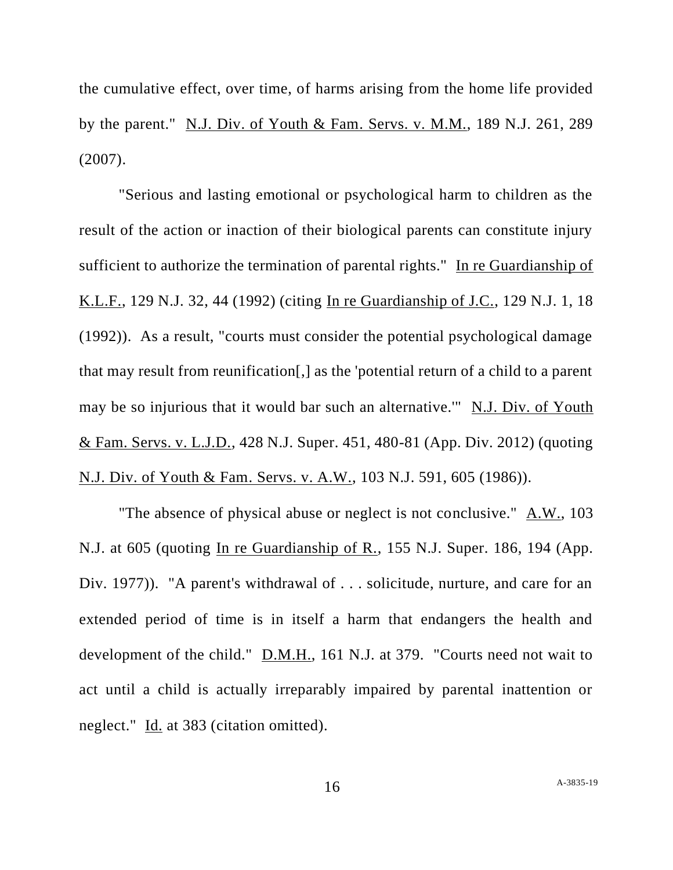the cumulative effect, over time, of harms arising from the home life provided by the parent." N.J. Div. of Youth & Fam. Servs. v. M.M., 189 N.J. 261, 289 (2007).

"Serious and lasting emotional or psychological harm to children as the result of the action or inaction of their biological parents can constitute injury sufficient to authorize the termination of parental rights." In re Guardianship of K.L.F., 129 N.J. 32, 44 (1992) (citing In re Guardianship of J.C., 129 N.J. 1, 18 (1992)). As a result, "courts must consider the potential psychological damage that may result from reunification[,] as the 'potential return of a child to a parent may be so injurious that it would bar such an alternative.'" N.J. Div. of Youth & Fam. Servs. v. L.J.D., 428 N.J. Super. 451, 480-81 (App. Div. 2012) (quoting N.J. Div. of Youth & Fam. Servs. v. A.W., 103 N.J. 591, 605 (1986)).

"The absence of physical abuse or neglect is not conclusive." A.W., 103 N.J. at 605 (quoting In re Guardianship of R., 155 N.J. Super. 186, 194 (App. Div. 1977)). "A parent's withdrawal of ... solicitude, nurture, and care for an extended period of time is in itself a harm that endangers the health and development of the child." D.M.H., 161 N.J. at 379. "Courts need not wait to act until a child is actually irreparably impaired by parental inattention or neglect." Id. at 383 (citation omitted).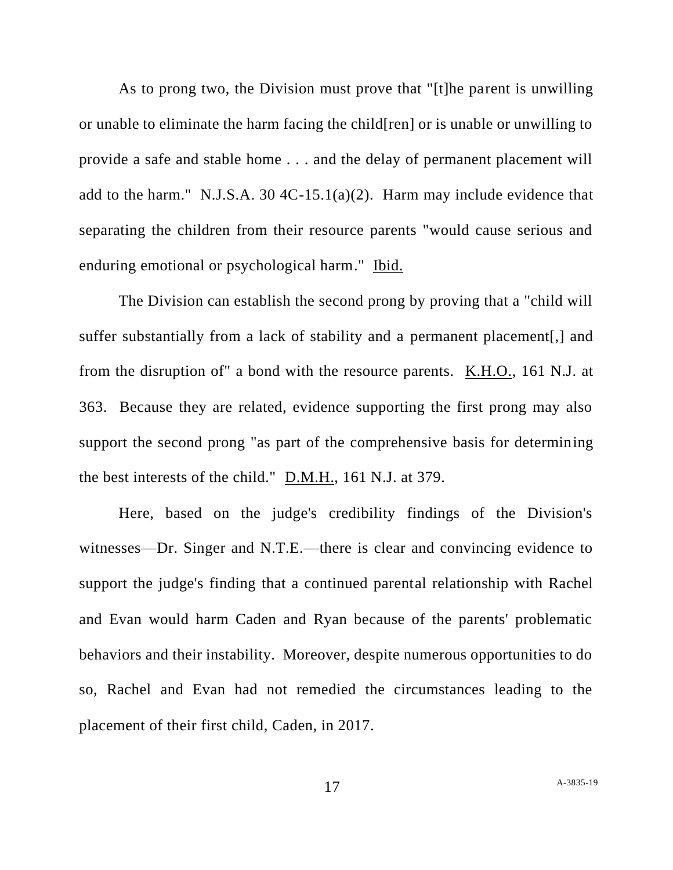As to prong two, the Division must prove that "[t]he parent is unwilling or unable to eliminate the harm facing the child[ren] or is unable or unwilling to provide a safe and stable home . . . and the delay of permanent placement will add to the harm." N.J.S.A. 30 4C-15.1(a)(2). Harm may include evidence that separating the children from their resource parents "would cause serious and enduring emotional or psychological harm." Ibid.

The Division can establish the second prong by proving that a "child will suffer substantially from a lack of stability and a permanent placement[,] and from the disruption of" a bond with the resource parents. K.H.O., 161 N.J. at 363. Because they are related, evidence supporting the first prong may also support the second prong "as part of the comprehensive basis for determining the best interests of the child." D.M.H., 161 N.J. at 379.

Here, based on the judge's credibility findings of the Division's witnesses—Dr. Singer and N.T.E.—there is clear and convincing evidence to support the judge's finding that a continued parental relationship with Rachel and Evan would harm Caden and Ryan because of the parents' problematic behaviors and their instability. Moreover, despite numerous opportunities to do so, Rachel and Evan had not remedied the circumstances leading to the placement of their first child, Caden, in 2017.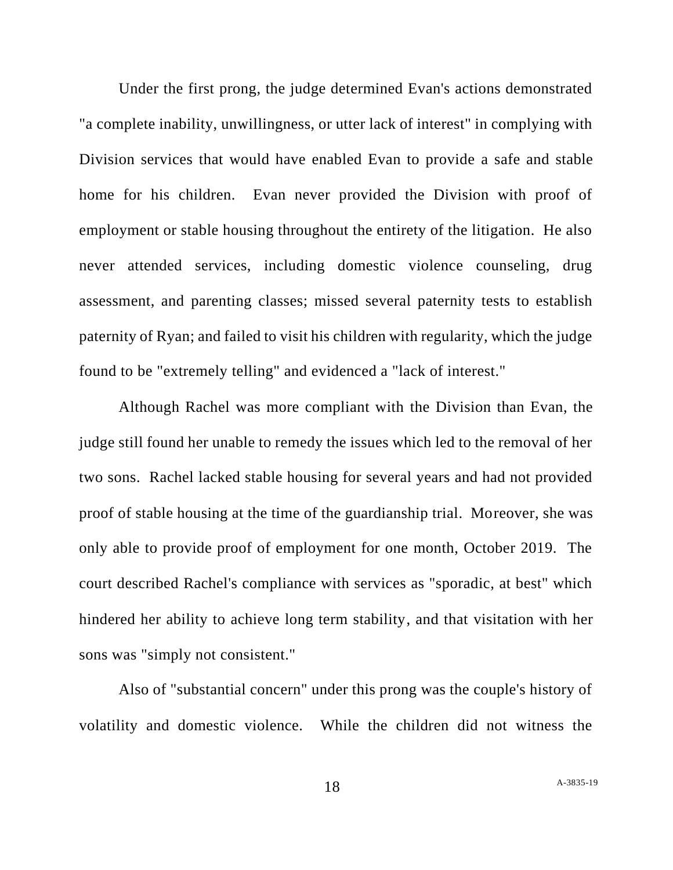Under the first prong, the judge determined Evan's actions demonstrated "a complete inability, unwillingness, or utter lack of interest" in complying with Division services that would have enabled Evan to provide a safe and stable home for his children. Evan never provided the Division with proof of employment or stable housing throughout the entirety of the litigation. He also never attended services, including domestic violence counseling, drug assessment, and parenting classes; missed several paternity tests to establish paternity of Ryan; and failed to visit his children with regularity, which the judge found to be "extremely telling" and evidenced a "lack of interest."

Although Rachel was more compliant with the Division than Evan, the judge still found her unable to remedy the issues which led to the removal of her two sons. Rachel lacked stable housing for several years and had not provided proof of stable housing at the time of the guardianship trial. Moreover, she was only able to provide proof of employment for one month, October 2019. The court described Rachel's compliance with services as "sporadic, at best" which hindered her ability to achieve long term stability, and that visitation with her sons was "simply not consistent."

Also of "substantial concern" under this prong was the couple's history of volatility and domestic violence. While the children did not witness the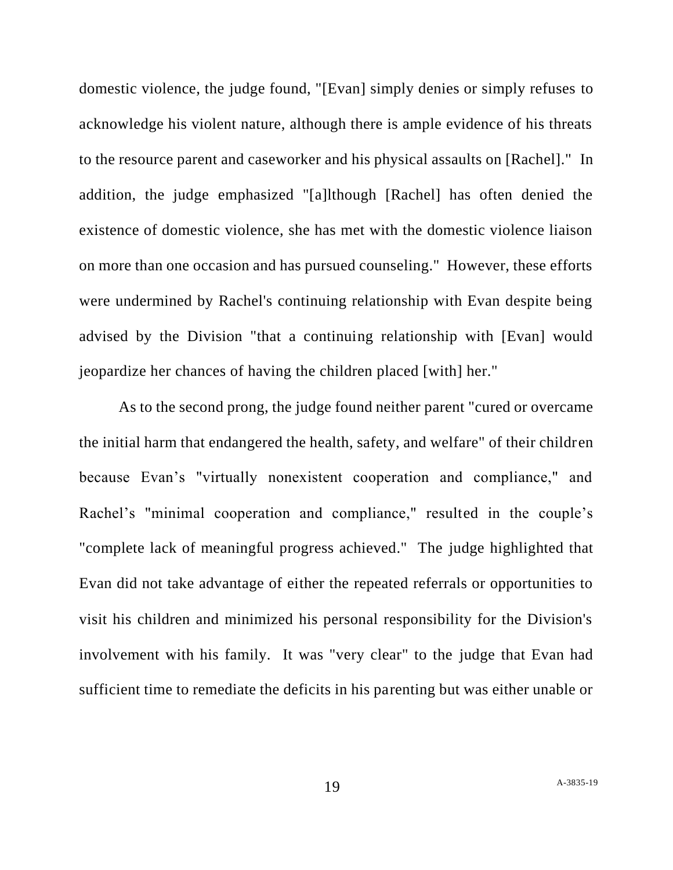domestic violence, the judge found, "[Evan] simply denies or simply refuses to acknowledge his violent nature, although there is ample evidence of his threats to the resource parent and caseworker and his physical assaults on [Rachel]." In addition, the judge emphasized "[a]lthough [Rachel] has often denied the existence of domestic violence, she has met with the domestic violence liaison on more than one occasion and has pursued counseling." However, these efforts were undermined by Rachel's continuing relationship with Evan despite being advised by the Division "that a continuing relationship with [Evan] would jeopardize her chances of having the children placed [with] her."

As to the second prong, the judge found neither parent "cured or overcame the initial harm that endangered the health, safety, and welfare" of their children because Evan's "virtually nonexistent cooperation and compliance," and Rachel's "minimal cooperation and compliance," resulted in the couple's "complete lack of meaningful progress achieved." The judge highlighted that Evan did not take advantage of either the repeated referrals or opportunities to visit his children and minimized his personal responsibility for the Division's involvement with his family. It was "very clear" to the judge that Evan had sufficient time to remediate the deficits in his parenting but was either unable or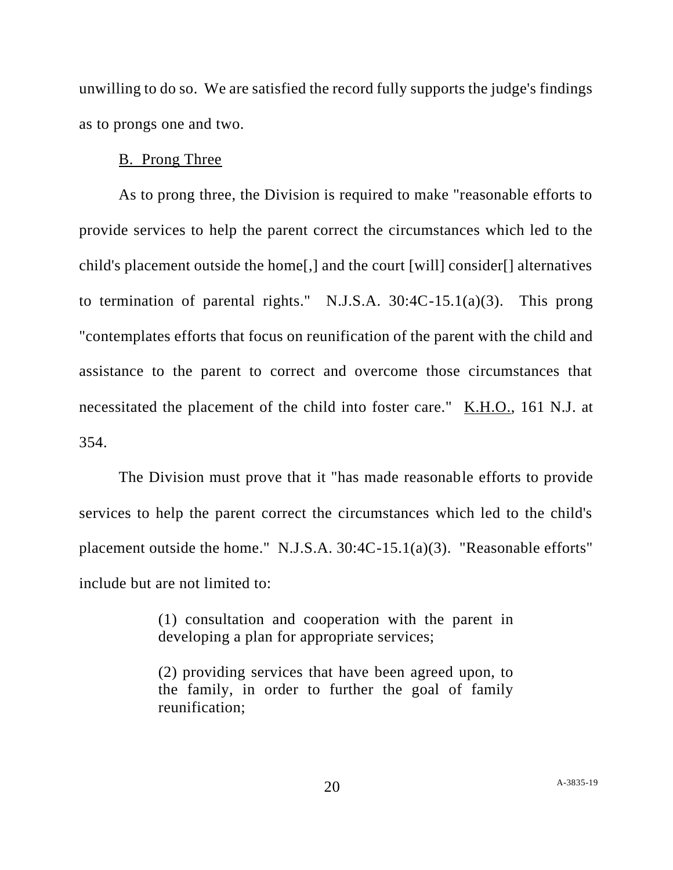unwilling to do so. We are satisfied the record fully supports the judge's findings as to prongs one and two.

### B. Prong Three

As to prong three, the Division is required to make "reasonable efforts to provide services to help the parent correct the circumstances which led to the child's placement outside the home[,] and the court [will] consider[] alternatives to termination of parental rights." N.J.S.A. 30:4C-15.1(a)(3). This prong "contemplates efforts that focus on reunification of the parent with the child and assistance to the parent to correct and overcome those circumstances that necessitated the placement of the child into foster care." K.H.O., 161 N.J. at 354.

The Division must prove that it "has made reasonable efforts to provide services to help the parent correct the circumstances which led to the child's placement outside the home." N.J.S.A. 30:4C-15.1(a)(3). "Reasonable efforts" include but are not limited to:

> (1) consultation and cooperation with the parent in developing a plan for appropriate services;

> (2) providing services that have been agreed upon, to the family, in order to further the goal of family reunification;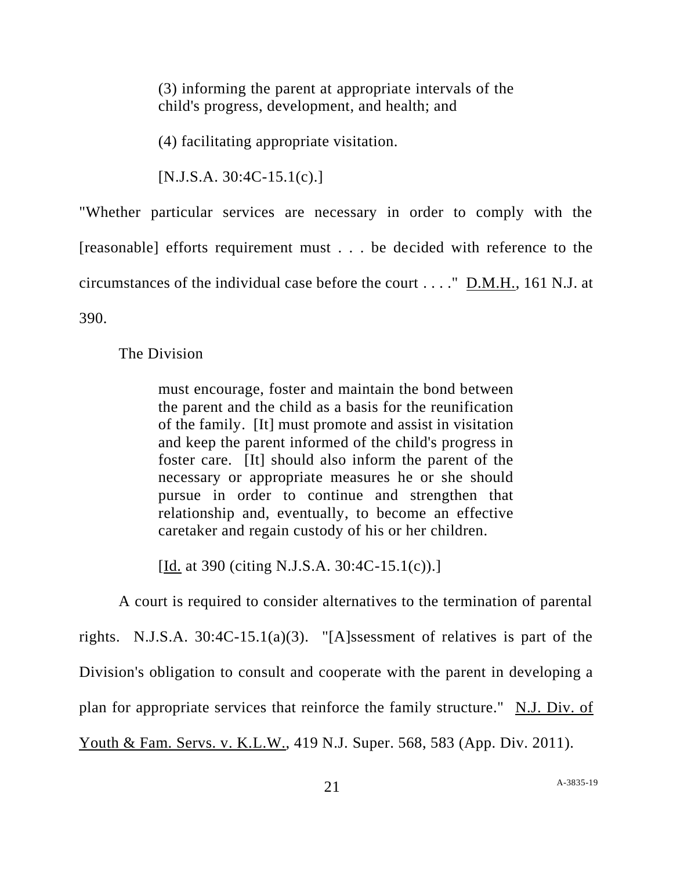(3) informing the parent at appropriate intervals of the child's progress, development, and health; and

(4) facilitating appropriate visitation.

 $[N.J.S.A. 30:4C-15.1(c)]$ 

"Whether particular services are necessary in order to comply with the [reasonable] efforts requirement must . . . be decided with reference to the circumstances of the individual case before the court . . . ." D.M.H., 161 N.J. at 390.

# The Division

must encourage, foster and maintain the bond between the parent and the child as a basis for the reunification of the family. [It] must promote and assist in visitation and keep the parent informed of the child's progress in foster care. [It] should also inform the parent of the necessary or appropriate measures he or she should pursue in order to continue and strengthen that relationship and, eventually, to become an effective caretaker and regain custody of his or her children.

[Id. at 390 (citing N.J.S.A. 30:4C-15.1(c)).]

A court is required to consider alternatives to the termination of parental rights. N.J.S.A. 30:4C-15.1(a)(3). "[A]ssessment of relatives is part of the Division's obligation to consult and cooperate with the parent in developing a plan for appropriate services that reinforce the family structure." N.J. Div. of Youth & Fam. Servs. v. K.L.W., 419 N.J. Super. 568, 583 (App. Div. 2011).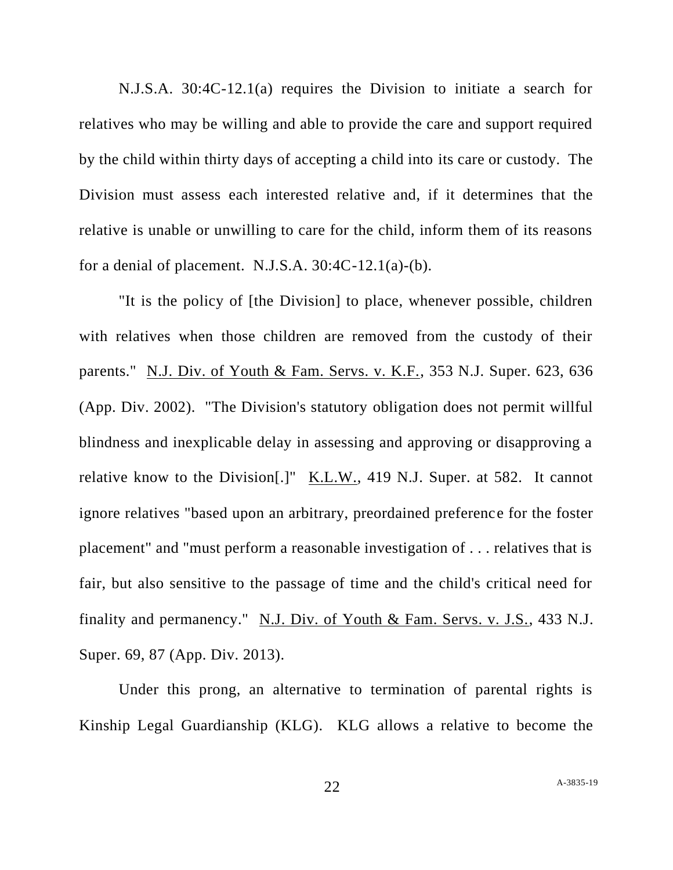N.J.S.A. 30:4C-12.1(a) requires the Division to initiate a search for relatives who may be willing and able to provide the care and support required by the child within thirty days of accepting a child into its care or custody. The Division must assess each interested relative and, if it determines that the relative is unable or unwilling to care for the child, inform them of its reasons for a denial of placement. N.J.S.A.  $30:4C-12.1(a)-(b)$ .

"It is the policy of [the Division] to place, whenever possible, children with relatives when those children are removed from the custody of their parents." N.J. Div. of Youth & Fam. Servs. v. K.F., 353 N.J. Super. 623, 636 (App. Div. 2002). "The Division's statutory obligation does not permit willful blindness and inexplicable delay in assessing and approving or disapproving a relative know to the Division[.]" K.L.W., 419 N.J. Super. at 582. It cannot ignore relatives "based upon an arbitrary, preordained preference for the foster placement" and "must perform a reasonable investigation of . . . relatives that is fair, but also sensitive to the passage of time and the child's critical need for finality and permanency." N.J. Div. of Youth & Fam. Servs. v. J.S., 433 N.J. Super. 69, 87 (App. Div. 2013).

Under this prong, an alternative to termination of parental rights is Kinship Legal Guardianship (KLG). KLG allows a relative to become the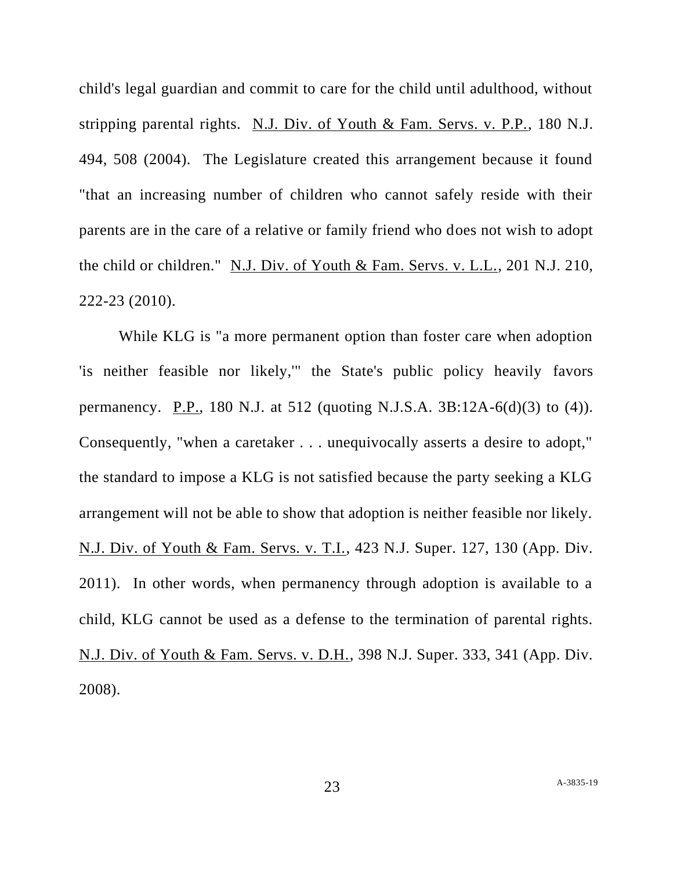child's legal guardian and commit to care for the child until adulthood, without stripping parental rights. N.J. Div. of Youth & Fam. Servs. v. P.P., 180 N.J. 494, 508 (2004). The Legislature created this arrangement because it found "that an increasing number of children who cannot safely reside with their parents are in the care of a relative or family friend who does not wish to adopt the child or children." N.J. Div. of Youth & Fam. Servs. v. L.L., 201 N.J. 210, 222-23 (2010).

While KLG is "a more permanent option than foster care when adoption 'is neither feasible nor likely,'" the State's public policy heavily favors permanency. P.P., 180 N.J. at 512 (quoting N.J.S.A. 3B:12A-6(d)(3) to (4)). Consequently, "when a caretaker . . . unequivocally asserts a desire to adopt," the standard to impose a KLG is not satisfied because the party seeking a KLG arrangement will not be able to show that adoption is neither feasible nor likely. N.J. Div. of Youth & Fam. Servs. v. T.I., 423 N.J. Super. 127, 130 (App. Div. 2011). In other words, when permanency through adoption is available to a child, KLG cannot be used as a defense to the termination of parental rights. N.J. Div. of Youth & Fam. Servs. v. D.H., 398 N.J. Super. 333, 341 (App. Div. 2008).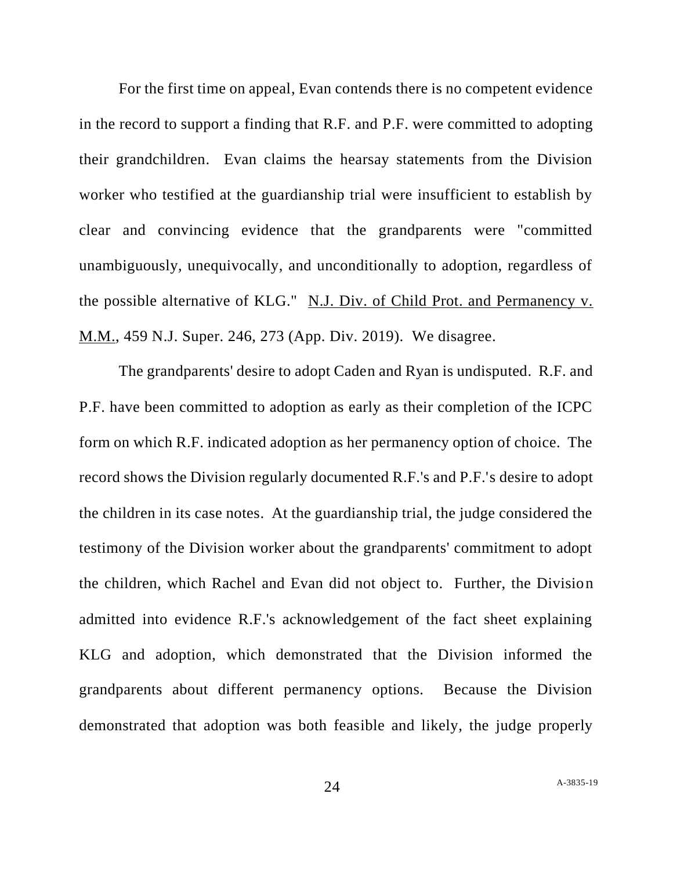For the first time on appeal, Evan contends there is no competent evidence in the record to support a finding that R.F. and P.F. were committed to adopting their grandchildren. Evan claims the hearsay statements from the Division worker who testified at the guardianship trial were insufficient to establish by clear and convincing evidence that the grandparents were "committed unambiguously, unequivocally, and unconditionally to adoption, regardless of the possible alternative of KLG." N.J. Div. of Child Prot. and Permanency v. M.M., 459 N.J. Super. 246, 273 (App. Div. 2019). We disagree.

The grandparents' desire to adopt Caden and Ryan is undisputed. R.F. and P.F. have been committed to adoption as early as their completion of the ICPC form on which R.F. indicated adoption as her permanency option of choice. The record shows the Division regularly documented R.F.'s and P.F.'s desire to adopt the children in its case notes. At the guardianship trial, the judge considered the testimony of the Division worker about the grandparents' commitment to adopt the children, which Rachel and Evan did not object to. Further, the Division admitted into evidence R.F.'s acknowledgement of the fact sheet explaining KLG and adoption, which demonstrated that the Division informed the grandparents about different permanency options. Because the Division demonstrated that adoption was both feasible and likely, the judge properly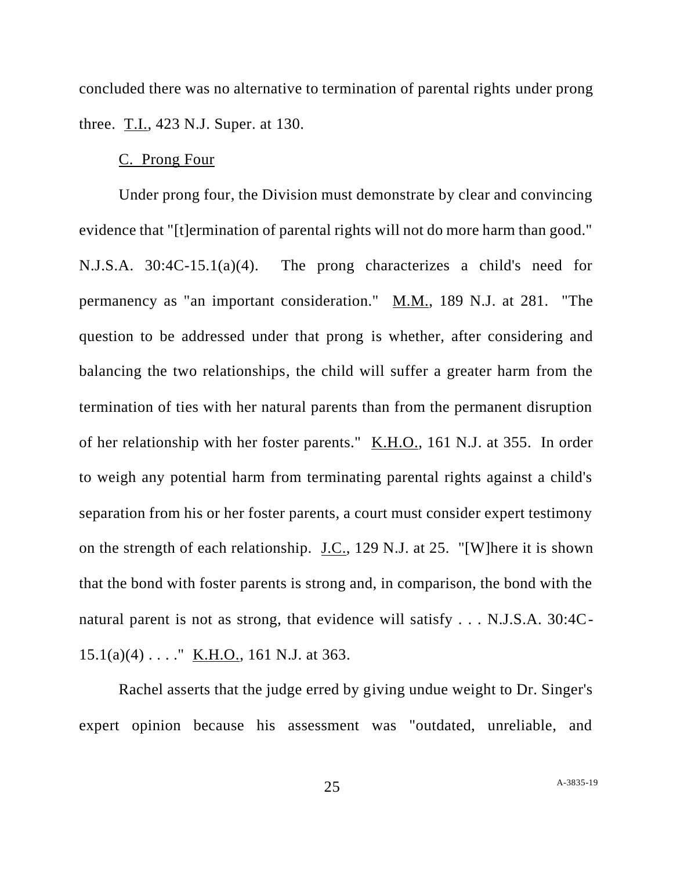concluded there was no alternative to termination of parental rights under prong three. T.I., 423 N.J. Super. at 130.

### C. Prong Four

Under prong four, the Division must demonstrate by clear and convincing evidence that "[t]ermination of parental rights will not do more harm than good." N.J.S.A. 30:4C-15.1(a)(4). The prong characterizes a child's need for permanency as "an important consideration." M.M., 189 N.J. at 281. "The question to be addressed under that prong is whether, after considering and balancing the two relationships, the child will suffer a greater harm from the termination of ties with her natural parents than from the permanent disruption of her relationship with her foster parents." K.H.O., 161 N.J. at 355. In order to weigh any potential harm from terminating parental rights against a child's separation from his or her foster parents, a court must consider expert testimony on the strength of each relationship. J.C., 129 N.J. at 25. "[W]here it is shown that the bond with foster parents is strong and, in comparison, the bond with the natural parent is not as strong, that evidence will satisfy . . . N.J.S.A. 30:4C- $15.1(a)(4) \ldots$ ." K.H.O., 161 N.J. at 363.

Rachel asserts that the judge erred by giving undue weight to Dr. Singer's expert opinion because his assessment was "outdated, unreliable, and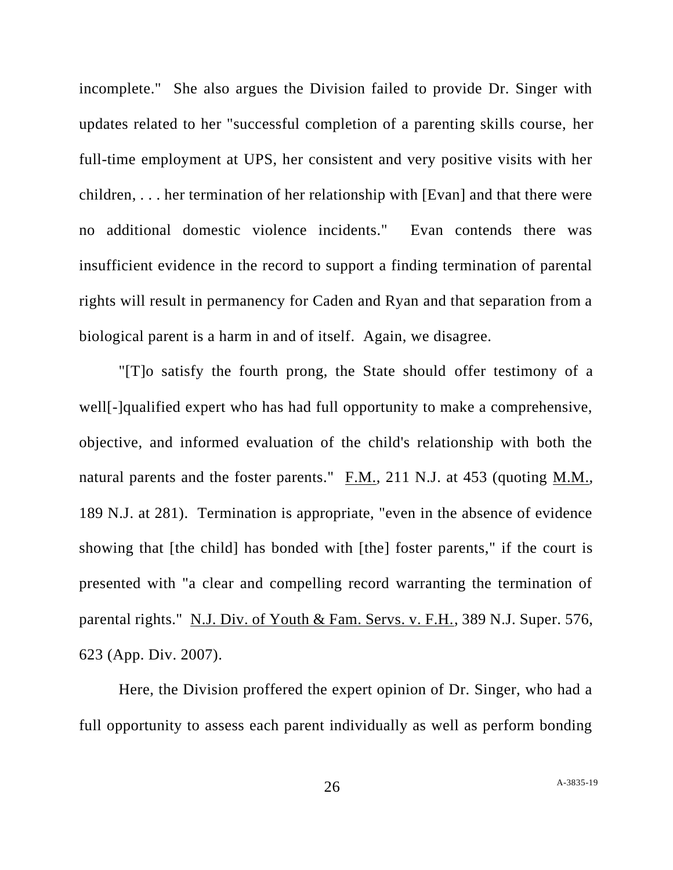incomplete." She also argues the Division failed to provide Dr. Singer with updates related to her "successful completion of a parenting skills course, her full-time employment at UPS, her consistent and very positive visits with her children, . . . her termination of her relationship with [Evan] and that there were no additional domestic violence incidents." Evan contends there was insufficient evidence in the record to support a finding termination of parental rights will result in permanency for Caden and Ryan and that separation from a biological parent is a harm in and of itself. Again, we disagree.

"[T]o satisfy the fourth prong, the State should offer testimony of a well[-]qualified expert who has had full opportunity to make a comprehensive, objective, and informed evaluation of the child's relationship with both the natural parents and the foster parents." F.M., 211 N.J. at 453 (quoting M.M., 189 N.J. at 281). Termination is appropriate, "even in the absence of evidence showing that [the child] has bonded with [the] foster parents," if the court is presented with "a clear and compelling record warranting the termination of parental rights." N.J. Div. of Youth & Fam. Servs. v. F.H., 389 N.J. Super. 576, 623 (App. Div. 2007).

Here, the Division proffered the expert opinion of Dr. Singer, who had a full opportunity to assess each parent individually as well as perform bonding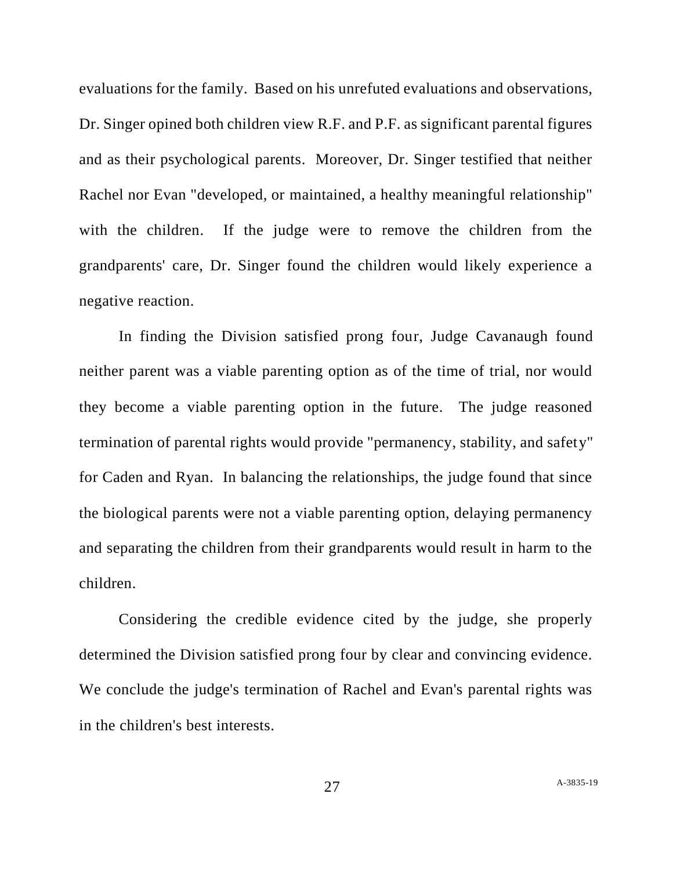evaluations for the family. Based on his unrefuted evaluations and observations, Dr. Singer opined both children view R.F. and P.F. as significant parental figures and as their psychological parents. Moreover, Dr. Singer testified that neither Rachel nor Evan "developed, or maintained, a healthy meaningful relationship" with the children. If the judge were to remove the children from the grandparents' care, Dr. Singer found the children would likely experience a negative reaction.

In finding the Division satisfied prong four, Judge Cavanaugh found neither parent was a viable parenting option as of the time of trial, nor would they become a viable parenting option in the future. The judge reasoned termination of parental rights would provide "permanency, stability, and safety" for Caden and Ryan. In balancing the relationships, the judge found that since the biological parents were not a viable parenting option, delaying permanency and separating the children from their grandparents would result in harm to the children.

Considering the credible evidence cited by the judge, she properly determined the Division satisfied prong four by clear and convincing evidence. We conclude the judge's termination of Rachel and Evan's parental rights was in the children's best interests.